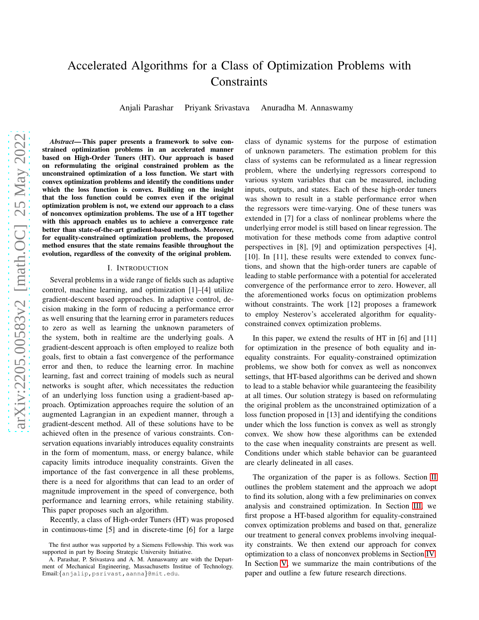# Accelerated Algorithms for a Class of Optimization Problems with **Constraints**

Anjali Parashar Priyank Srivastava Anuradha M. Annaswamy

*Abstract*— This paper presents a framework to solve constrained optimization problems in an accelerated manner based on High-Order Tuners (HT). Our approach is based on reformulating the original constrained problem as the unconstrained optimization of a loss function. We start with convex optimization problems and identify the conditions under which the loss function is convex. Building on the insight that the loss function could be convex even if the original optimization problem is not, we extend our approach to a class of nonconvex optimization problems. The use of a HT together with this approach enables us to achieve a convergence rate better than state-of-the-art gradient-based methods. Moreover, for equality-constrained optimization problems, the proposed method ensures that the state remains feasible throughout the evolution, regardless of the convexity of the original problem.

#### I. INTRODUCTION

Several problems in a wide range of fields such as adaptive control, machine learning, and optimization [1]–[4] utilize gradient-descent based approaches. In adaptive control, decision making in the form of reducing a performance error as well ensuring that the learning error in parameters reduces to zero as well as learning the unknown parameters of the system, both in realtime are the underlying goals. A gradient-descent approach is often employed to realize both goals, first to obtain a fast convergence of the performance error and then, to reduce the learning error. In machine learning, fast and correct training of models such as neural networks is sought after, which necessitates the reduction of an underlying loss function using a gradient-based approach. Optimization approaches require the solution of an augmented Lagrangian in an expedient manner, through a gradient-descent method. All of these solutions have to be achieved often in the presence of various constraints. Conservation equations invariably introduces equality constraints in the form of momentum, mass, or energy balance, while capacity limits introduce inequality constraints. Given the importance of the fast convergence in all these problems, there is a need for algorithms that can lead to an order of magnitude improvement in the speed of convergence, both performance and learning errors, while retaining stability. This paper proposes such an algorithm.

Recently, a class of High-order Tuners (HT) was proposed in continuous-time [5] and in discrete-time [6] for a large class of dynamic systems for the purpose of estimation of unknown parameters. The estimation problem for this class of systems can be reformulated as a linear regression problem, where the underlying regressors correspond to various system variables that can be measured, including inputs, outputs, and states. Each of these high-order tuners was shown to result in a stable performance error when the regressors were time-varying. One of these tuners was extended in [7] for a class of nonlinear problems where the underlying error model is still based on linear regression. The motivation for these methods come from adaptive control perspectives in [8], [9] and optimization perspectives [4], [10]. In [11], these results were extended to convex functions, and shown that the high-order tuners are capable of leading to stable performance with a potential for accelerated convergence of the performance error to zero. However, all the aforementioned works focus on optimization problems without constraints. The work [12] proposes a framework to employ Nesterov's accelerated algorithm for equalityconstrained convex optimization problems.

In this paper, we extend the results of HT in [6] and [11] for optimization in the presence of both equality and inequality constraints. For equality-constrained optimization problems, we show both for convex as well as nonconvex settings, that HT-based algorithms can be derived and shown to lead to a stable behavior while guaranteeing the feasibility at all times. Our solution strategy is based on reformulating the original problem as the unconstrained optimization of a loss function proposed in [13] and identifying the conditions under which the loss function is convex as well as strongly convex. We show how these algorithms can be extended to the case when inequality constraints are present as well. Conditions under which stable behavior can be guaranteed are clearly delineated in all cases.

The organization of the paper is as follows. Section [II](#page-1-0) outlines the problem statement and the approach we adopt to find its solution, along with a few preliminaries on convex analysis and constrained optimization. In Section [III,](#page-2-0) we first propose a HT-based algorithm for equality-constrained convex optimization problems and based on that, generalize our treatment to general convex problems involving inequality constraints. We then extend our approach for convex optimization to a class of nonconvex problems in Section [IV.](#page-3-0) In Section [V,](#page-5-0) we summarize the main contributions of the paper and outline a few future research directions.

The first author was supported by a Siemens Fellowship. This work was supported in part by Boeing Strategic University Initiative.

A. Parashar, P. Srivastava and A. M. Annaswamy are with the Department of Mechanical Engineering, Massachusetts Institue of Technology. Email:{anjalip,psrivast,aanna}@mit.edu.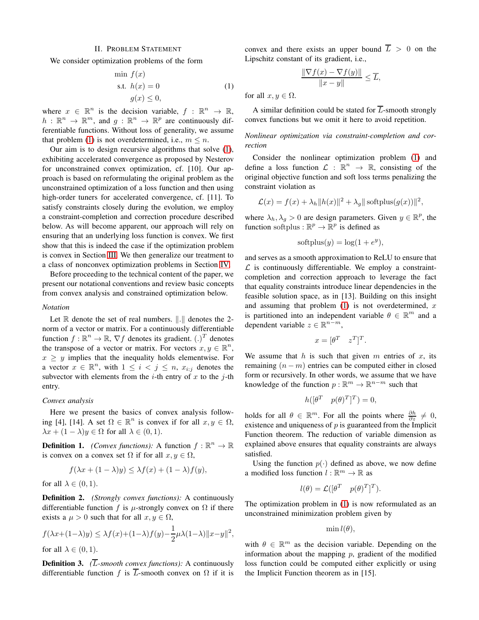#### II. PROBLEM STATEMENT

<span id="page-1-0"></span>We consider optimization problems of the form

<span id="page-1-1"></span>
$$
\min f(x)
$$
  
s.t.  $h(x) = 0$   
 $g(x) \le 0,$  (1)

where  $x \in \mathbb{R}^n$  is the decision variable,  $f : \mathbb{R}^n \to \mathbb{R}$ ,  $h: \mathbb{R}^n \to \mathbb{R}^m$ , and  $g: \mathbb{R}^n \to \mathbb{R}^p$  are continuously differentiable functions. Without loss of generality, we assume that problem [\(1\)](#page-1-1) is not overdetermined, i.e.,  $m \leq n$ .

Our aim is to design recursive algorithms that solve [\(1\)](#page-1-1), exhibiting accelerated convergence as proposed by Nesterov for unconstrained convex optimization, cf. [10]. Our approach is based on reformulating the original problem as the unconstrained optimization of a loss function and then using high-order tuners for accelerated convergence, cf. [11]. To satisfy constraints closely during the evolution, we employ a constraint-completion and correction procedure described below. As will become apparent, our approach will rely on ensuring that an underlying loss function is convex. We first show that this is indeed the case if the optimization problem is convex in Section [III.](#page-2-0) We then generalize our treatment to a class of nonconvex optimization problems in Section [IV.](#page-3-0)

Before proceeding to the technical content of the paper, we present our notational conventions and review basic concepts from convex analysis and constrained optimization below.

#### *Notation*

Let  $\mathbb R$  denote the set of real numbers.  $\|.\|$  denotes the 2norm of a vector or matrix. For a continuously differentiable function  $f : \mathbb{R}^n \to \mathbb{R}$ ,  $\nabla f$  denotes its gradient.  $(.)^T$  denotes the transpose of a vector or matrix. For vectors  $x, y \in \mathbb{R}^n$ ,  $x \geq y$  implies that the inequality holds elementwise. For a vector  $x \in \mathbb{R}^n$ , with  $1 \leq i < j \leq n$ ,  $x_{i:j}$  denotes the subvector with elements from the *i*-th entry of x to the j-th entry.

#### *Convex analysis*

Here we present the basics of convex analysis following [4], [14]. A set  $\Omega \in \mathbb{R}^n$  is convex if for all  $x, y \in \Omega$ ,  $\lambda x + (1 - \lambda)y \in \Omega$  for all  $\lambda \in (0, 1)$ .

**Definition 1.** *(Convex functions):* A function  $f : \mathbb{R}^n \to \mathbb{R}$ is convex on a convex set  $\Omega$  if for all  $x, y \in \Omega$ ,

$$
f(\lambda x + (1 - \lambda)y) \leq \lambda f(x) + (1 - \lambda)f(y),
$$

for all  $\lambda \in (0, 1)$ .

Definition 2. *(Strongly convex functions):* A continuously differentiable function f is  $\mu$ -strongly convex on  $\Omega$  if there exists a  $\mu > 0$  such that for all  $x, y \in \Omega$ ,

$$
f(\lambda x + (1 - \lambda)y) \le \lambda f(x) + (1 - \lambda)f(y) - \frac{1}{2}\mu\lambda(1 - \lambda) \|x - y\|^2,
$$
  
for all  $\lambda \in (0, 1)$ .

Definition 3. *(*L*-smooth convex functions):* A continuously differentiable function f is  $\overline{L}$ -smooth convex on  $\Omega$  if it is convex and there exists an upper bound  $\overline{L} > 0$  on the Lipschitz constant of its gradient, i.e.,

$$
\frac{\|\nabla f(x) - \nabla f(y)\|}{\|x - y\|} \le \overline{L},
$$

for all  $x, y \in \Omega$ .

A similar definition could be stated for  $\overline{L}$ -smooth strongly convex functions but we omit it here to avoid repetition.

*Nonlinear optimization via constraint-completion and correction*

Consider the nonlinear optimization problem [\(1\)](#page-1-1) and define a loss function  $\mathcal{L}: \mathbb{R}^n \to \mathbb{R}$ , consisting of the original objective function and soft loss terms penalizing the constraint violation as

$$
\mathcal{L}(x) = f(x) + \lambda_h \|h(x)\|^2 + \lambda_g \|\operatorname{softplus}(g(x))\|^2,
$$

where  $\lambda_h, \lambda_g > 0$  are design parameters. Given  $y \in \mathbb{R}^p$ , the function softplus :  $\mathbb{R}^p \to \mathbb{R}^p$  is defined as

$$
softplus(y) = log(1 + e^y),
$$

and serves as a smooth approximation to ReLU to ensure that  $\mathcal L$  is continuously differentiable. We employ a constraintcompletion and correction approach to leverage the fact that equality constraints introduce linear dependencies in the feasible solution space, as in [13]. Building on this insight and assuming that problem  $(1)$  is not overdetermined, x is partitioned into an independent variable  $\theta \in \mathbb{R}^m$  and a dependent variable  $z \in \mathbb{R}^{n-m}$ ,

$$
x = [\theta^T \quad z^T]^T.
$$

We assume that h is such that given m entries of  $x$ , its remaining  $(n - m)$  entries can be computed either in closed form or recursively. In other words, we assume that we have knowledge of the function  $p : \mathbb{R}^m \to \mathbb{R}^{n-m}$  such that

$$
h([\theta^T \quad p(\theta)^T]^T) = 0,
$$

holds for all  $\theta \in \mathbb{R}^m$ . For all the points where  $\frac{\partial h}{\partial z} \neq 0$ , existence and uniqueness of  $p$  is guaranteed from the Implicit Function theorem. The reduction of variable dimension as explained above ensures that equality constraints are always satisfied.

Using the function  $p(\cdot)$  defined as above, we now define a modified loss function  $l : \mathbb{R}^m \to \mathbb{R}$  as

$$
l(\theta) = \mathcal{L}([\theta^T \quad p(\theta)^T]^T).
$$

The optimization problem in [\(1\)](#page-1-1) is now reformulated as an unconstrained minimization problem given by

$$
\min l(\theta),
$$

with  $\theta \in \mathbb{R}^m$  as the decision variable. Depending on the information about the mapping  $p$ , gradient of the modified loss function could be computed either explicitly or using the Implicit Function theorem as in [15].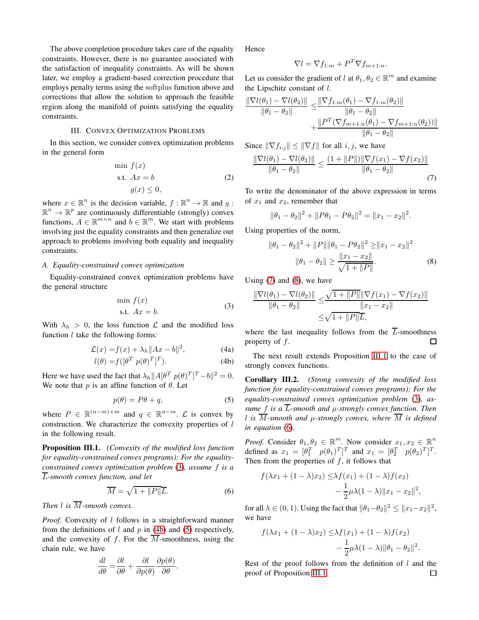The above completion procedure takes care of the equality constraints. However, there is no guarantee associated with the satisfaction of inequality constraints. As will be shown later, we employ a gradient-based correction procedure that employs penalty terms using the softplus function above and corrections that allow the solution to approach the feasible region along the manifold of points satisfying the equality constraints.

## III. CONVEX OPTIMIZATION PROBLEMS

<span id="page-2-0"></span>In this section, we consider convex optimization problems in the general form

<span id="page-2-9"></span>
$$
\min f(x)
$$
  
s.t.  $Ax = b$   

$$
g(x) \le 0,
$$
 (2)

where  $x \in \mathbb{R}^n$  is the decision variable,  $f : \mathbb{R}^n \to \mathbb{R}$  and  $g$ :  $\mathbb{R}^n \to \mathbb{R}^p$  are continuously differentiable (strongly) convex functions,  $A \in \mathbb{R}^{m \times n}$  and  $b \in \mathbb{R}^m$ . We start with problems involving just the equality constraints and then generalize our approach to problems involving both equality and inequality constraints.

## *A. Equality-constrained convex optimization*

Equality-constrained convex optimization problems have the general structure

<span id="page-2-10"></span><span id="page-2-1"></span>
$$
\min f(x) \n\text{s.t. } Ax = b.
$$
\n(3)

With  $\lambda_h > 0$ , the loss function  $\mathcal L$  and the modified loss function  $l$  take the following forms:

$$
\mathcal{L}(x) = f(x) + \lambda_h \|Ax - b\|^2, \tag{4a}
$$

$$
l(\theta) = f([\theta^T \ p(\theta)^T]^T). \tag{4b}
$$

Here we have used the fact that  $\lambda_h ||A[\theta^T p(\theta)^T]^T - b||^2 = 0$ . We note that  $p$  is an affine function of  $\theta$ . Let

<span id="page-2-3"></span>
$$
p(\theta) = P\theta + q,\tag{5}
$$

where  $P \in \mathbb{R}^{(n-m)\times m}$  and  $q \in \mathbb{R}^{n-m}$ .  $\mathcal L$  is convex by construction. We characterize the convexity properties of l in the following result.

<span id="page-2-6"></span>Proposition III.1. *(Convexity of the modified loss function for equality-constrained convex programs): For the equalityconstrained convex optimization problem* [\(3\)](#page-2-1)*, assume* f *is a* L*-smooth convex function, and let*

$$
\overline{M} = \sqrt{1 + ||P||L}.
$$
 (6)

*Then l is*  $\overline{M}$ *-smooth convex.* 

*Proof.* Convexity of *l* follows in a straightforward manner from the definitions of  $l$  and  $p$  in [\(4b\)](#page-2-2) and [\(5\)](#page-2-3) respectively, and the convexity of f. For the  $\overline{M}$ -smoothness, using the chain rule, we have

$$
\frac{dl}{d\theta} = \frac{\partial l}{\partial \theta} + \frac{\partial l}{\partial p(\theta)} \frac{\partial p(\theta)}{\partial \theta}.
$$

Hence

$$
\nabla l = \nabla f_{1:m} + P^T \nabla f_{m+1:n}.
$$

Let us consider the gradient of l at  $\theta_1, \theta_2 \in \mathbb{R}^m$  and examine the Lipschitz constant of  $l$ .

$$
\frac{\|\nabla l(\theta_1) - \nabla l(\theta_2)\|}{\|\theta_1 - \theta_2\|} \le \frac{\|\nabla f_{1:m}(\theta_1) - \nabla f_{1:m}(\theta_2)\|}{\|\theta_1 - \theta_2\|} + \frac{\|P^T(\nabla f_{m+1:n}(\theta_1) - \nabla f_{m+1:n}(\theta_2))\|}{\|\theta_1 - \theta_2\|}
$$

Since  $\|\nabla f_{i:j}\| \leq \|\nabla f\|$  for all  $i, j$ , we have

$$
\frac{\|\nabla l(\theta_1) - \nabla l(\theta_2)\|}{\|\theta_1 - \theta_2\|} \le \frac{(1 + \|P\|) \|\nabla f(x_1) - \nabla f(x_2)\|}{\|\theta_1 - \theta_2\|} \tag{7}
$$

To write the denominator of the above expression in terms of  $x_1$  and  $x_2$ , remember that

<span id="page-2-4"></span>
$$
\|\theta_1 - \theta_2\|^2 + \|P\theta_1 - P\theta_2\|^2 = \|x_1 - x_2\|^2.
$$

Using properties of the norm,

<span id="page-2-5"></span>
$$
\|\theta_1 - \theta_2\|^2 + \|P\| \|\theta_1 - P\theta_2\|^2 \ge \|x_1 - x_2\|^2
$$
  

$$
\|\theta_1 - \theta_2\| \ge \frac{\|x_1 - x_2\|}{\sqrt{1 + \|P\|}}.
$$
 (8)

Using  $(7)$  and  $(8)$ , we have

$$
\frac{\|\nabla l(\theta_1) - \nabla l(\theta_2)\|}{\|\theta_1 - \theta_2\|} \le \frac{\sqrt{1 + \|P\| \|\nabla f(x_1) - \nabla f(x_2)\|}}{\|x_1 - x_2\|} \n\le \sqrt{1 + \|P\|L},
$$

where the last inequality follows from the  $\overline{L}$ -smoothness property of f.  $\Box$ 

<span id="page-2-2"></span>The next result extends Proposition [III.1](#page-2-6) to the case of strongly convex functions.

<span id="page-2-8"></span>Corollary III.2. *(Strong convexity of the modified loss function for equality-constrained convex programs): For the equality-constrained convex optimization problem* [\(3\)](#page-2-1)*, assume* f *is a* L*-smooth and* µ*-strongly convex function. Then* l is  $\overline{M}$ -smooth and  $\mu$ -strongly convex, where  $\overline{M}$  is defined *in equation* [\(6\)](#page-2-7)*.*

*Proof.* Consider  $\theta_1, \theta_2 \in \mathbb{R}^m$ . Now consider  $x_1, x_2 \in \mathbb{R}^n$ defined as  $x_1 = \begin{bmatrix} \theta_1^T & p(\theta_1)^T \end{bmatrix}^T$  and  $x_1 = \begin{bmatrix} \theta_2^T & p(\theta_2)^T \end{bmatrix}^T$ . Then from the properties of  $f$ , it follows that

$$
f(\lambda x_1 + (1 - \lambda)x_2) \leq \lambda f(x_1) + (1 - \lambda)f(x_2)
$$

$$
- \frac{1}{2}\mu\lambda(1 - \lambda) \|x_1 - x_2\|^2,
$$

<span id="page-2-7"></span>for all  $\lambda \in (0, 1)$ . Using the fact that  $\|\theta_1-\theta_2\|^2 \leq \|x_1-x_2\|^2$ , we have

$$
f(\lambda x_1 + (1 - \lambda)x_2) \leq \lambda f(x_1) + (1 - \lambda)f(x_2)
$$
  
 
$$
- \frac{1}{2}\mu\lambda(1 - \lambda) \|\theta_1 - \theta_2\|^2.
$$

Rest of the proof follows from the definition of  $l$  and the proof of Proposition [III.1.](#page-2-6) $\Box$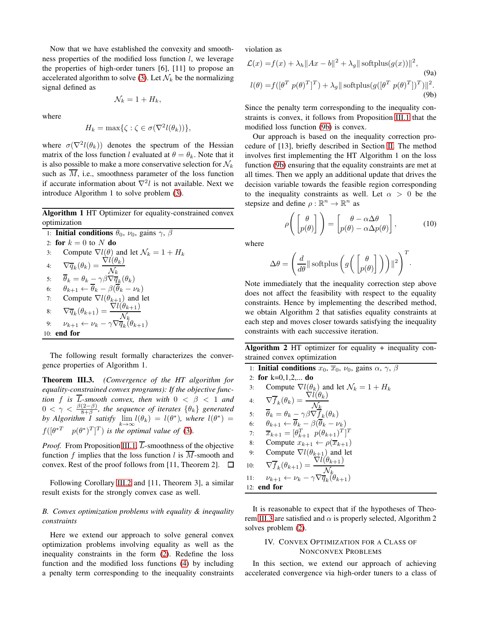Now that we have established the convexity and smoothness properties of the modified loss function  $l$ , we leverage the properties of high-order tuners [6], [11] to propose an accelerated algorithm to solve [\(3\)](#page-2-1). Let  $\mathcal{N}_k$  be the normalizing signal defined as

$$
\mathcal{N}_k=1+H_k,
$$

where

$$
H_k = \max\{\zeta : \zeta \in \sigma(\nabla^2 l(\theta_k))\},\
$$

where  $\sigma(\nabla^2 l(\theta_k))$  denotes the spectrum of the Hessian matrix of the loss function l evaluated at  $\theta = \theta_k$ . Note that it is also possible to make a more conservative selection for  $\mathcal{N}_k$ such as  $\overline{M}$ , i.e., smoothness parameter of the loss function if accurate information about  $\nabla^2 l$  is not available. Next we introduce Algorithm 1 to solve problem [\(3\)](#page-2-1).

Algorithm 1 HT Optimizer for equality-constrained convex optimization

\n- 1: Initial conditions 
$$
\theta_0
$$
,  $\nu_0$ , gains  $\gamma$ ,  $\beta$
\n- 2: **for**  $k = 0$  to  $N$  **do**
\n- 3: Compute  $\nabla l(\theta)$  and let  $\mathcal{N}_k = 1 + H_k$
\n- 4:  $\nabla \overline{q}_k(\theta_k) = \frac{\nabla l(\theta_k)}{\mathcal{N}_k}$
\n- 5:  $\overline{\theta}_k = \theta_k - \gamma \beta \nabla \overline{q}_k(\theta_k)$
\n- 6:  $\theta_{k+1} \leftarrow \overline{\theta}_k - \beta(\overline{\theta}_k - \nu_k)$
\n- 7: Compute  $\nabla l(\theta_{k+1})$  and let
\n- 8:  $\nabla \overline{q}_k(\theta_{k+1}) = \frac{\nabla l(\theta_{k+1})}{\mathcal{N}_k}$
\n- 9:  $\nu_{k+1} \leftarrow \nu_k - \gamma \nabla \overline{q}_k(\theta_{k+1})$
\n- 10: **end for**
\n

The following result formally characterizes the convergence properties of Algorithm 1.

<span id="page-3-2"></span>Theorem III.3. *(Convergence of the HT algorithm for equality-constrained convex programs): If the objective function* f *is*  $\overline{L}$ -smooth convex, then with  $0 < \beta < 1$  and  $0 < \gamma < \frac{\beta(2-\beta)}{8+\beta}$ , the sequence of iterates  $\{\theta_k\}$  generated by Algorithm 1 satisfy  $\lim_{k\to\infty} l(\theta_k) = l(\theta^*)$ , where  $l(\theta^*) =$  $f([\theta^{*T} \quad p(\theta^{*})^T]^T)$  is the optimal value of [\(3\)](#page-2-1).

*Proof.* From Proposition [III.1,](#page-2-6)  $\overline{L}$ -smoothness of the objective function  $f$  implies that the loss function  $l$  is  $M$ -smooth and convex. Rest of the proof follows from [11, Theorem 2].  $\Box$ 

Following Corollary [III.2](#page-2-8) and [11, Theorem 3], a similar result exists for the strongly convex case as well.

## *B. Convex optimization problems with equality & inequality constraints*

Here we extend our approach to solve general convex optimization problems involving equality as well as the inequality constraints in the form [\(2\)](#page-2-9). Redefine the loss function and the modified loss functions [\(4\)](#page-2-10) by including a penalty term corresponding to the inequality constraints violation as

<span id="page-3-1"></span>
$$
\mathcal{L}(x) = f(x) + \lambda_h ||Ax - b||^2 + \lambda_g || \text{softplus}(g(x))||^2,
$$
\n(9a)  
\n
$$
l(\theta) = f([\theta^T \ p(\theta)^T]^T) + \lambda_g || \text{softplus}(g([\theta^T \ p(\theta)^T])^T) ||^2.
$$
\n(9b)

Since the penalty term corresponding to the inequality constraints is convex, it follows from Proposition [III.1](#page-2-6) that the modified loss function [\(9b\)](#page-3-1) is convex.

Our approach is based on the inequality correction procedure of [13], briefly described in Section [II.](#page-1-0) The method involves first implementing the HT Algorithm 1 on the loss function [\(9b\)](#page-3-1) ensuring that the equality constraints are met at all times. Then we apply an additional update that drives the decision variable towards the feasible region corresponding to the inequality constraints as well. Let  $\alpha > 0$  be the stepsize and define  $\rho : \mathbb{R}^n \to \mathbb{R}^n$  as

<span id="page-3-3"></span>
$$
\rho\left(\begin{bmatrix} \theta \\ p(\theta) \end{bmatrix}\right) = \begin{bmatrix} \theta - \alpha \Delta \theta \\ p(\theta) - \alpha \Delta p(\theta) \end{bmatrix},\tag{10}
$$

where

$$
\Delta \theta = \left( \frac{d}{d\theta} \|\operatorname{softplus}\left(g\left(\begin{bmatrix} \theta \\ p(\theta) \end{bmatrix}\right)\right)\|^2 \right)^T.
$$

Note immediately that the inequality correction step above does not affect the feasibility with respect to the equality constraints. Hence by implementing the described method, we obtain Algorithm 2 that satisfies equality constraints at each step and moves closer towards satisfying the inequality constraints with each successive iteration.

Algorithm 2 HT optimizer for equality + inequality constrained convex optimization

1: Initial conditions 
$$
x_0
$$
,  $\overline{x}_0$ ,  $\nu_0$ , gains  $\alpha$ ,  $\gamma$ ,  $\beta$   
\n2: for k=0,1,2,... do  
\n3: Compute  $\nabla l(\theta_k)$  and let  $\mathcal{N}_k = 1 + H_k$   
\n4:  $\nabla \overline{f}_k(\theta_k) = \frac{\nabla l(\theta_k)}{\mathcal{N}_k}$   
\n5:  $\overline{\theta}_k = \theta_k - \gamma \beta \nabla f_k(\theta_k)$   
\n6:  $\theta_{k+1} \leftarrow \overline{\theta}_k - \beta (\overline{\theta}_k - \nu_k)$   
\n7:  $\overline{x}_{k+1} = [\theta_{k+1}^T \ p(\theta_{k+1})^T]^T$   
\n8: Compute  $x_{k+1} \leftarrow \rho(\overline{x}_{k+1})$   
\n9: Compute  $\nabla l(\theta_{k+1})$  and let  
\n10:  $\nabla \overline{f}_k(\theta_{k+1}) = \frac{\nabla l(\theta_{k+1})}{\mathcal{N}_k}$   
\n11:  $\nu_{k+1} \leftarrow \nu_k - \gamma \nabla \overline{q}_k(\theta_{k+1})$   
\n12: end for

It is reasonable to expect that if the hypotheses of Theo-rem [III.3](#page-3-2) are satisfied and  $\alpha$  is properly selected, Algorithm 2 solves problem [\(2\)](#page-2-9).

## <span id="page-3-0"></span>IV. CONVEX OPTIMIZATION FOR A CLASS OF NONCONVEX PROBLEMS

In this section, we extend our approach of achieving accelerated convergence via high-order tuners to a class of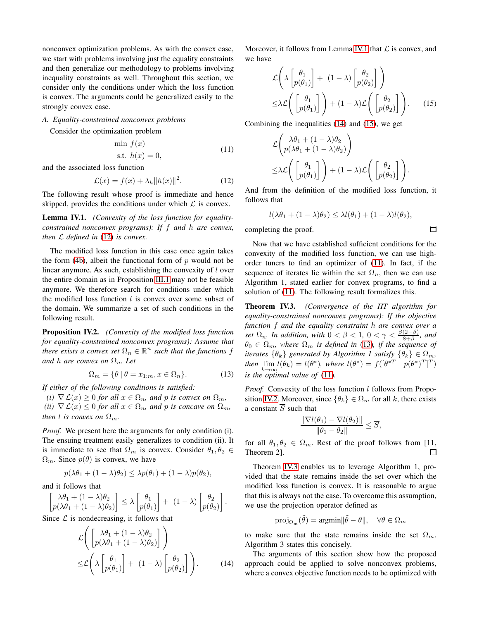nonconvex optimization problems. As with the convex case, we start with problems involving just the equality constraints and then generalize our methodology to problems involving inequality constraints as well. Throughout this section, we consider only the conditions under which the loss function is convex. The arguments could be generalized easily to the strongly convex case.

## *A. Equality-constrained nonconvex problems*

Consider the optimization problem

<span id="page-4-4"></span>
$$
\min f(x)
$$
  
s.t.  $h(x) = 0,$  (11)

and the associated loss function

$$
\mathcal{L}(x) = f(x) + \lambda_h \|h(x)\|^2. \tag{12}
$$

The following result whose proof is immediate and hence skipped, provides the conditions under which  $\mathcal L$  is convex.

<span id="page-4-1"></span>Lemma IV.1. *(Convexity of the loss function for equalityconstrained nonconvex programs): If* f *and* h *are convex, then* L *defined in* [\(12\)](#page-4-0) *is convex.*

The modified loss function in this case once again takes the form  $(4b)$ , albeit the functional form of p would not be linear anymore. As such, establishing the convexity of l over the entire domain as in Proposition [III.1](#page-2-6) may not be feasible anymore. We therefore search for conditions under which the modified loss function  $l$  is convex over some subset of the domain. We summarize a set of such conditions in the following result.

<span id="page-4-6"></span>Proposition IV.2. *(Convexity of the modified loss function for equality-constrained nonconvex programs): Assume that there exists a convex set*  $\Omega_n \in \mathbb{R}^n$  *such that the functions f and h are convex on*  $\Omega_n$ *. Let* 

$$
\Omega_m = \{ \theta \mid \theta = x_{1:m}, x \in \Omega_n \}. \tag{13}
$$

*If either of the following conditions is satisfied:*

*(i)*  $\nabla \mathcal{L}(x) \geq 0$  *for all*  $x \in \Omega_n$ *, and p is convex on*  $\Omega_m$ *, (ii)*  $\nabla \mathcal{L}(x) \leq 0$  *for all*  $x \in \Omega_n$ *, and p is concave on*  $\Omega_m$ *, then l is convex on*  $\Omega_m$ *.* 

*Proof.* We present here the arguments for only condition (i). The ensuing treatment easily generalizes to condition (ii). It is immediate to see that  $\Omega_m$  is convex. Consider  $\theta_1, \theta_2 \in$  $\Omega_m$ . Since  $p(\theta)$  is convex, we have

$$
p(\lambda \theta_1 + (1 - \lambda)\theta_2) \leq \lambda p(\theta_1) + (1 - \lambda)p(\theta_2),
$$

and it follows that

$$
\begin{bmatrix} \lambda \theta_1 + (1 - \lambda)\theta_2 \\ p(\lambda \theta_1 + (1 - \lambda)\theta_2) \end{bmatrix} \le \lambda \begin{bmatrix} \theta_1 \\ p(\theta_1) \end{bmatrix} + (1 - \lambda) \begin{bmatrix} \theta_2 \\ p(\theta_2) \end{bmatrix}.
$$

Since  $\mathcal L$  is nondecreasing, it follows that

$$
\mathcal{L}\left(\begin{bmatrix} \lambda\theta_1 + (1-\lambda)\theta_2\\ p(\lambda\theta_1 + (1-\lambda)\theta_2) \end{bmatrix}\right)
$$
  
\n
$$
\leq \mathcal{L}\left(\lambda \begin{bmatrix} \theta_1\\ p(\theta_1) \end{bmatrix} + (1-\lambda) \begin{bmatrix} \theta_2\\ p(\theta_2) \end{bmatrix}\right).
$$
 (14)

Moreover, it follows from Lemma [IV.1](#page-4-1) that  $\mathcal L$  is convex, and we have

$$
\mathcal{L}\left(\lambda\begin{bmatrix} \theta_1\\p(\theta_1) \end{bmatrix} + (1-\lambda)\begin{bmatrix} \theta_2\\p(\theta_2) \end{bmatrix}\right) \leq \lambda \mathcal{L}\left(\begin{bmatrix} \theta_1\\p(\theta_1) \end{bmatrix}\right) + (1-\lambda)\mathcal{L}\left(\begin{bmatrix} \theta_2\\p(\theta_2) \end{bmatrix}\right).
$$
 (15)

Combining the inequalities [\(14\)](#page-4-2) and [\(15\)](#page-4-3), we get

$$
\mathcal{L}\left(\begin{array}{c}\lambda\theta_1 + (1-\lambda)\theta_2\\p(\lambda\theta_1 + (1-\lambda)\theta_2)\end{array}\right)
$$
  
\n
$$
\leq \lambda \mathcal{L}\left(\begin{bmatrix} \theta_1\\p(\theta_1)\end{bmatrix}\right) + (1-\lambda)\mathcal{L}\left(\begin{bmatrix} \theta_2\\p(\theta_2)\end{bmatrix}\right).
$$

<span id="page-4-0"></span>And from the definition of the modified loss function, it follows that

$$
l(\lambda\theta_1 + (1-\lambda)\theta_2) \leq \lambda l(\theta_1) + (1-\lambda)l(\theta_2),
$$

completing the proof.

Now that we have established sufficient conditions for the convexity of the modified loss function, we can use highorder tuners to find an optimizer of [\(11\)](#page-4-4). In fact, if the sequence of iterates lie within the set  $\Omega_n$ , then we can use Algorithm 1, stated earlier for convex programs, to find a solution of [\(11\)](#page-4-4). The following result formalizes this.

<span id="page-4-7"></span>Theorem IV.3. *(Convergence of the HT algorithm for equality-constrained nonconvex programs): If the objective function* f *and the equality constraint* h *are convex over a set*  $\Omega_n$ , In addition, with  $0 < \beta < 1$ ,  $0 < \gamma < \frac{\beta(2-\beta)}{8+\beta}$ , and  $\theta_0 \in \Omega_m$ , where  $\Omega_m$  is defined in [\(13\)](#page-4-5), if the sequence of *iterates*  $\{\theta_k\}$  *generated by Algorithm 1 satisfy*  $\{\theta_k\} \in \Omega_m$ , *then*  $\lim_{k \to \infty} l(\theta_k) = l(\theta^*)$ , where  $l(\theta^*) = f([\theta^{*T} \quad p(\theta^*)^T]^T)$ *is the optimal value of* [\(11\)](#page-4-4)*.*

<span id="page-4-5"></span>*Proof.* Convexity of the loss function l follows from Propo-sition [IV.2.](#page-4-6) Moreover, since  $\{\theta_k\} \in \Omega_m$  for all k, there exists a constant  $\overline{S}$  such that

$$
\frac{\|\nabla l(\theta_1) - \nabla l(\theta_2)\|}{\|\theta_1 - \theta_2\|} \le \overline{S},
$$

for all  $\theta_1, \theta_2 \in \Omega_m$ . Rest of the proof follows from [11, Theorem 2]. 口

Theorem [IV.3](#page-4-7) enables us to leverage Algorithm 1, provided that the state remains inside the set over which the modified loss function is convex. It is reasonable to argue that this is always not the case. To overcome this assumption, we use the projection operator defined as

$$
\text{proj}_{\Omega_m}(\tilde{\theta}) = \text{argmin} \|\tilde{\theta} - \theta\|, \quad \forall \theta \in \Omega_m
$$

to make sure that the state remains inside the set  $\Omega_m$ . Algorithm 3 states this concisely.

<span id="page-4-2"></span>The arguments of this section show how the proposed approach could be applied to solve nonconvex problems, where a convex objective function needs to be optimized with

<span id="page-4-3"></span> $\Box$